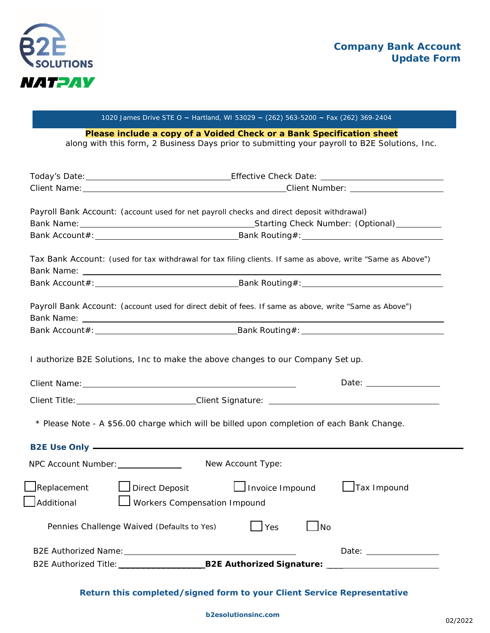

## 1020 James Drive STE O **~** Hartland, WI 53029 **~** (262) 563-5200 **~** Fax (262) 369-2404

**Please include a copy of a Voided Check or a Bank Specification sheet**

along with this form, 2 Business Days prior to submitting your payroll to B2E Solutions, Inc.

|                                            | Payroll Bank Account: (account used for net payroll checks and direct deposit withdrawal)                                                                                                                                                                                                                                    |
|--------------------------------------------|------------------------------------------------------------------------------------------------------------------------------------------------------------------------------------------------------------------------------------------------------------------------------------------------------------------------------|
|                                            |                                                                                                                                                                                                                                                                                                                              |
|                                            |                                                                                                                                                                                                                                                                                                                              |
|                                            | Tax Bank Account: (used for tax withdrawal for tax filing clients. If same as above, write "Same as Above")                                                                                                                                                                                                                  |
|                                            | Bank Account#: Bank Routing#:                                                                                                                                                                                                                                                                                                |
|                                            | Payroll Bank Account: (account used for direct debit of fees. If same as above, write "Same as Above")                                                                                                                                                                                                                       |
|                                            |                                                                                                                                                                                                                                                                                                                              |
|                                            |                                                                                                                                                                                                                                                                                                                              |
|                                            | Date: the contract of the contract of the contract of the contract of the contract of the contract of the contract of the contract of the contract of the contract of the contract of the contract of the contract of the cont<br>* Please Note - A \$56.00 charge which will be billed upon completion of each Bank Change. |
|                                            | B2E Use Only <b>Example 20</b> Section 20 April 20 Section 20 April 20 Section 20 April 20 Section 20 April 20 Section 20 April 20 Section 20 April 20 Section 20 April 20 Section 20 April 20 Section 20 April 20 Section 20 April                                                                                          |
| NPC Account Number: _______________        | New Account Type:                                                                                                                                                                                                                                                                                                            |
| $\Box$ Replacement<br>_Additional          | Direct Deposit   Invoice Impound   Tax Impound<br>Workers Compensation Impound                                                                                                                                                                                                                                               |
| Pennies Challenge Waived (Defaults to Yes) | Yes<br>$\Box$ No                                                                                                                                                                                                                                                                                                             |
|                                            |                                                                                                                                                                                                                                                                                                                              |

## **Return this completed/signed form to your Client Service Representative**